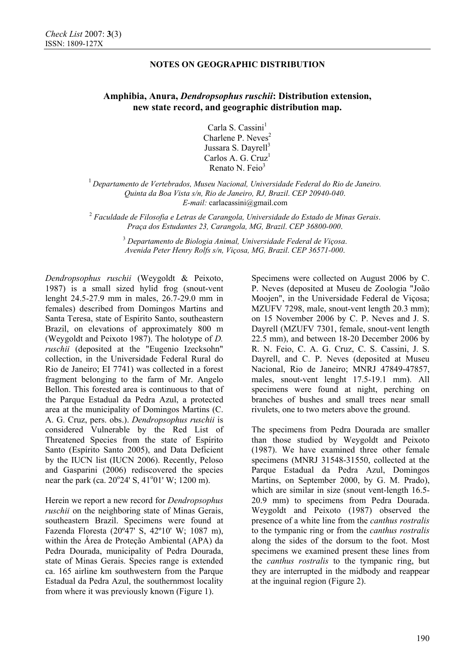## **NOTES ON GEOGRAPHIC DISTRIBUTION**

# **Amphibia, Anura,** *Dendropsophus ruschii***: Distribution extension, new state record, and geographic distribution map.**

Carla S. Cassini $<sup>1</sup>$ </sup> Charlene P. Neves<sup>2</sup> Jussara S. Davrell<sup>3</sup> Carlos A. G. Cruz<sup>1</sup> Renato N. Feio<sup>3</sup>

<sup>1</sup>*Departamento de Vertebrados, Museu Nacional, Universidade Federal do Rio de Janeiro. Quinta da Boa Vista s/n, Rio de Janeiro, RJ, Brazil*. *CEP 20940-040*. *E-mail:* carlacassini@gmail.com

<sup>2</sup> *Faculdade de Filosofia e Letras de Carangola, Universidade do Estado de Minas Gerais*. *Praça dos Estudantes 23, Carangola, MG, Brazil*. *CEP 36800-000*.

> <sup>3</sup> *Departamento de Biologia Animal, Universidade Federal de Viçosa*. *Avenida Peter Henry Rolfs s/n, Viçosa, MG, Brazil*. *CEP 36571-000*.

*Dendropsophus ruschii* (Weygoldt & Peixoto, 1987) is a small sized hylid frog (snout-vent lenght 24.5-27.9 mm in males, 26.7-29.0 mm in females) described from Domingos Martins and Santa Teresa, state of Espírito Santo, southeastern Brazil, on elevations of approximately 800 m (Weygoldt and Peixoto 1987). The holotype of *D. ruschii* (deposited at the "Eugenio Izecksohn" collection, in the Universidade Federal Rural do Rio de Janeiro; EI 7741) was collected in a forest fragment belonging to the farm of Mr. Angelo Bellon. This forested area is continuous to that of the Parque Estadual da Pedra Azul, a protected area at the municipality of Domingos Martins (C. A. G. Cruz, pers. obs.). *Dendropsophus ruschii* is considered Vulnerable by the Red List of Threatened Species from the state of Espírito Santo (Espírito Santo 2005), and Data Deficient by the IUCN list (IUCN 2006). Recently, Peloso and Gasparini (2006) rediscovered the species near the park (ca.  $20^{\circ}24'$  S,  $41^{\circ}01'$  W; 1200 m).

Herein we report a new record for *Dendropsophus ruschii* on the neighboring state of Minas Gerais, southeastern Brazil. Specimens were found at Fazenda Floresta (20º47' S, 42º10' W; 1087 m), within the Área de Proteção Ambiental (APA) da Pedra Dourada, municipality of Pedra Dourada, state of Minas Gerais. Species range is extended ca. 165 airline km southwestern from the Parque Estadual da Pedra Azul, the southernmost locality from where it was previously known (Figure 1).

Specimens were collected on August 2006 by C. P. Neves (deposited at Museu de Zoologia "João Moojen", in the Universidade Federal de Viçosa; MZUFV 7298, male, snout-vent length 20.3 mm); on 15 November 2006 by C. P. Neves and J. S. Dayrell (MZUFV 7301, female, snout-vent length 22.5 mm), and between 18-20 December 2006 by R. N. Feio, C. A. G. Cruz, C. S. Cassini, J. S. Dayrell, and C. P. Neves (deposited at Museu Nacional, Rio de Janeiro; MNRJ 47849-47857, males, snout-vent lenght 17.5-19.1 mm). All specimens were found at night, perching on branches of bushes and small trees near small rivulets, one to two meters above the ground.

The specimens from Pedra Dourada are smaller than those studied by Weygoldt and Peixoto (1987). We have examined three other female specimens (MNRJ 31548-31550, collected at the Parque Estadual da Pedra Azul, Domingos Martins, on September 2000, by G. M. Prado), which are similar in size (snout vent-length 16.5- 20.9 mm) to specimens from Pedra Dourada. Weygoldt and Peixoto (1987) observed the presence of a white line from the *canthus rostralis*  to the tympanic ring or from the *canthus rostralis*  along the sides of the dorsum to the foot. Most specimens we examined present these lines from the *canthus rostralis* to the tympanic ring, but they are interrupted in the midbody and reappear at the inguinal region (Figure 2).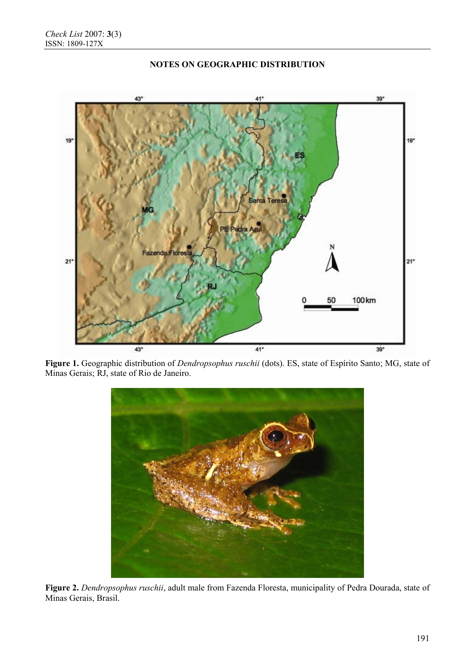

## **NOTES ON GEOGRAPHIC DISTRIBUTION**

**Figure 1.** Geographic distribution of *Dendropsophus ruschii* (dots). ES, state of Espírito Santo; MG, state of Minas Gerais; RJ, state of Rio de Janeiro.



**Figure 2.** *Dendropsophus ruschii*, adult male from Fazenda Floresta, municipality of Pedra Dourada, state of Minas Gerais, Brasil.